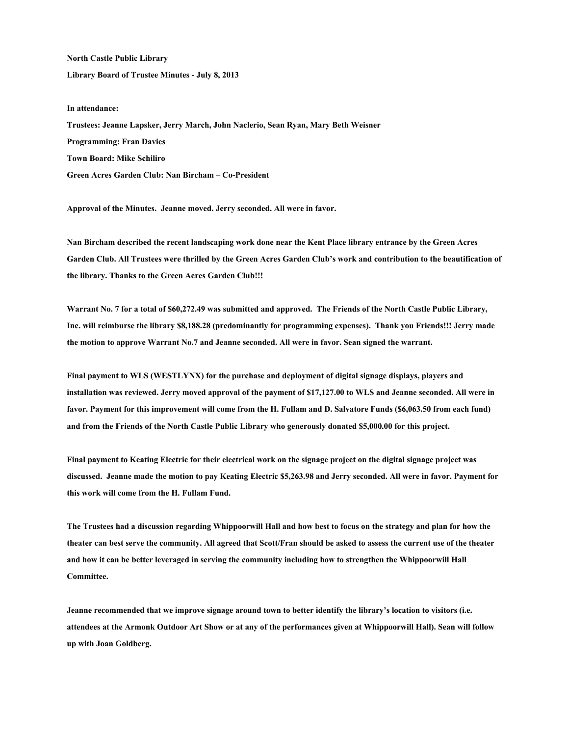**North Castle Public Library Library Board of Trustee Minutes - July 8, 2013** 

## **In attendance:**

**Trustees: Jeanne Lapsker, Jerry March, John Naclerio, Sean Ryan, Mary Beth Weisner Programming: Fran Davies Town Board: Mike Schiliro Green Acres Garden Club: Nan Bircham – Co-President** 

**Approval of the Minutes. Jeanne moved. Jerry seconded. All were in favor.** 

**Nan Bircham described the recent landscaping work done near the Kent Place library entrance by the Green Acres Garden Club. All Trustees were thrilled by the Green Acres Garden Club's work and contribution to the beautification of the library. Thanks to the Green Acres Garden Club!!!** 

**Warrant No. 7 for a total of \$60,272.49 was submitted and approved. The Friends of the North Castle Public Library, Inc. will reimburse the library \$8,188.28 (predominantly for programming expenses). Thank you Friends!!! Jerry made the motion to approve Warrant No.7 and Jeanne seconded. All were in favor. Sean signed the warrant.** 

**Final payment to WLS (WESTLYNX) for the purchase and deployment of digital signage displays, players and installation was reviewed. Jerry moved approval of the payment of \$17,127.00 to WLS and Jeanne seconded. All were in favor. Payment for this improvement will come from the H. Fullam and D. Salvatore Funds (\$6,063.50 from each fund) and from the Friends of the North Castle Public Library who generously donated \$5,000.00 for this project.** 

**Final payment to Keating Electric for their electrical work on the signage project on the digital signage project was discussed. Jeanne made the motion to pay Keating Electric \$5,263.98 and Jerry seconded. All were in favor. Payment for this work will come from the H. Fullam Fund.** 

**The Trustees had a discussion regarding Whippoorwill Hall and how best to focus on the strategy and plan for how the theater can best serve the community. All agreed that Scott/Fran should be asked to assess the current use of the theater and how it can be better leveraged in serving the community including how to strengthen the Whippoorwill Hall Committee.** 

**Jeanne recommended that we improve signage around town to better identify the library's location to visitors (i.e. attendees at the Armonk Outdoor Art Show or at any of the performances given at Whippoorwill Hall). Sean will follow up with Joan Goldberg.**